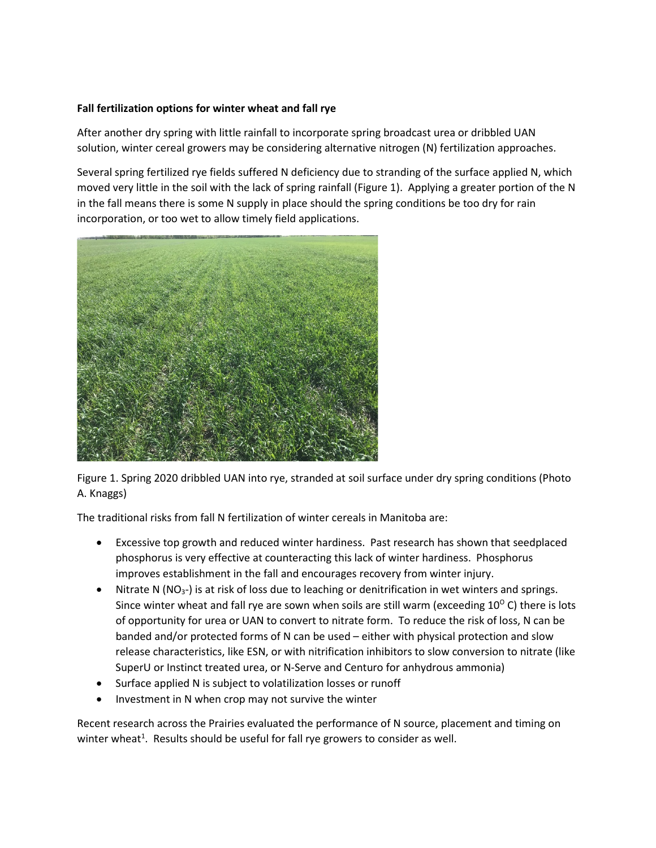## **Fall fertilization options for winter wheat and fall rye**

After another dry spring with little rainfall to incorporate spring broadcast urea or dribbled UAN solution, winter cereal growers may be considering alternative nitrogen (N) fertilization approaches.

Several spring fertilized rye fields suffered N deficiency due to stranding of the surface applied N, which moved very little in the soil with the lack of spring rainfall (Figure 1). Applying a greater portion of the N in the fall means there is some N supply in place should the spring conditions be too dry for rain incorporation, or too wet to allow timely field applications.



Figure 1. Spring 2020 dribbled UAN into rye, stranded at soil surface under dry spring conditions (Photo A. Knaggs)

The traditional risks from fall N fertilization of winter cereals in Manitoba are:

- Excessive top growth and reduced winter hardiness. Past research has shown that seedplaced phosphorus is very effective at counteracting this lack of winter hardiness. Phosphorus improves establishment in the fall and encourages recovery from winter injury.
- Nitrate N ( $NO<sub>3</sub>$ ) is at risk of loss due to leaching or denitrification in wet winters and springs. Since winter wheat and fall rye are sown when soils are still warm (exceeding  $10^{\circ}$  C) there is lots of opportunity for urea or UAN to convert to nitrate form. To reduce the risk of loss, N can be banded and/or protected forms of N can be used – either with physical protection and slow release characteristics, like ESN, or with nitrification inhibitors to slow conversion to nitrate (like SuperU or Instinct treated urea, or N-Serve and Centuro for anhydrous ammonia)
- Surface applied N is subject to volatilization losses or runoff
- Investment in N when crop may not survive the winter

Recent research across the Prairies evaluated the performance of N source, placement and timing on winter wheat<sup>1</sup>. Results should be useful for fall rye growers to consider as well.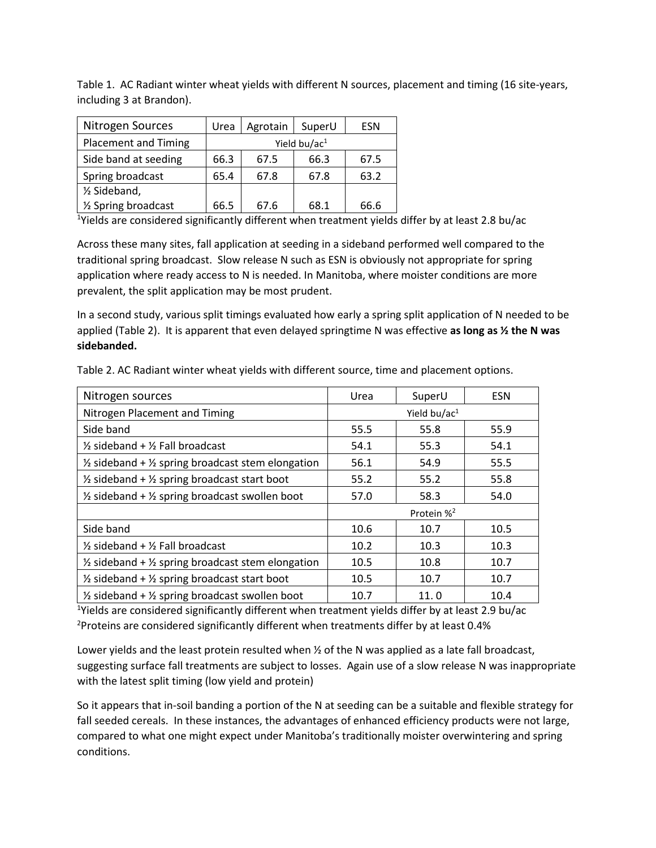Table 1. AC Radiant winter wheat yields with different N sources, placement and timing (16 site-years, including 3 at Brandon).

| Nitrogen Sources            | Urea            | Agrotain | SuperU | <b>ESN</b> |
|-----------------------------|-----------------|----------|--------|------------|
| <b>Placement and Timing</b> | Yield bu/ac $1$ |          |        |            |
| Side band at seeding        | 66.3            | 67.5     | 66.3   | 67.5       |
| Spring broadcast            | 65.4            | 67.8     | 67.8   | 63.2       |
| 1/ <sub>2</sub> Sideband,   |                 |          |        |            |
| 1/2 Spring broadcast        | 66.5            | 67.6     | 68.1   | 66.6       |

<sup>1</sup>Yields are considered significantly different when treatment yields differ by at least 2.8 bu/ac

Across these many sites, fall application at seeding in a sideband performed well compared to the traditional spring broadcast. Slow release N such as ESN is obviously not appropriate for spring application where ready access to N is needed. In Manitoba, where moister conditions are more prevalent, the split application may be most prudent.

In a second study, various split timings evaluated how early a spring split application of N needed to be applied (Table 2). It is apparent that even delayed springtime N was effective **as long as ½ the N was sidebanded.**

| Nitrogen sources                                                        | Urea                   | SuperU | <b>ESN</b> |
|-------------------------------------------------------------------------|------------------------|--------|------------|
| Nitrogen Placement and Timing                                           | Yield bu/ac $1$        |        |            |
| Side band                                                               | 55.5                   | 55.8   | 55.9       |
| $\frac{1}{2}$ sideband + $\frac{1}{2}$ Fall broadcast                   | 54.1                   | 55.3   | 54.1       |
| $\frac{1}{2}$ sideband + $\frac{1}{2}$ spring broadcast stem elongation | 56.1                   | 54.9   | 55.5       |
| $\frac{1}{2}$ sideband + $\frac{1}{2}$ spring broadcast start boot      | 55.2                   | 55.2   | 55.8       |
| $\frac{1}{2}$ sideband + $\frac{1}{2}$ spring broadcast swollen boot    | 57.0                   | 58.3   | 54.0       |
|                                                                         | Protein % <sup>2</sup> |        |            |
| Side band                                                               | 10.6                   | 10.7   | 10.5       |
| $\frac{1}{2}$ sideband + $\frac{1}{2}$ Fall broadcast                   | 10.2                   | 10.3   | 10.3       |
| $\frac{1}{2}$ sideband + $\frac{1}{2}$ spring broadcast stem elongation | 10.5                   | 10.8   | 10.7       |
| $\frac{1}{2}$ sideband + $\frac{1}{2}$ spring broadcast start boot      | 10.5                   | 10.7   | 10.7       |
| $\frac{1}{2}$ sideband + $\frac{1}{2}$ spring broadcast swollen boot    | 10.7                   | 11.0   | 10.4       |

Table 2. AC Radiant winter wheat yields with different source, time and placement options.

<sup>1</sup>Yields are considered significantly different when treatment yields differ by at least 2.9 bu/ac <sup>2</sup>Proteins are considered significantly different when treatments differ by at least 0.4%

Lower yields and the least protein resulted when  $\frac{1}{2}$  of the N was applied as a late fall broadcast, suggesting surface fall treatments are subject to losses. Again use of a slow release N was inappropriate with the latest split timing (low yield and protein)

So it appears that in-soil banding a portion of the N at seeding can be a suitable and flexible strategy for fall seeded cereals. In these instances, the advantages of enhanced efficiency products were not large, compared to what one might expect under Manitoba's traditionally moister overwintering and spring conditions.